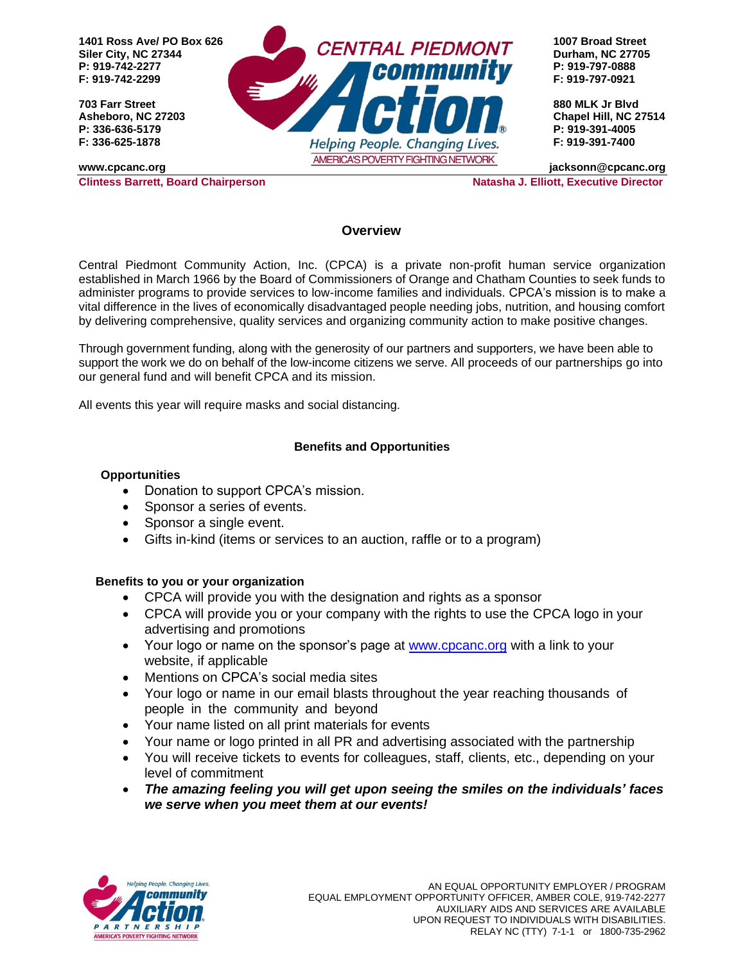

#### **Overview**

Central Piedmont Community Action, Inc. (CPCA) is a private non-profit human service organization established in March 1966 by the Board of Commissioners of Orange and Chatham Counties to seek funds to administer programs to provide services to low-income families and individuals. CPCA's mission is to make a vital difference in the lives of economically disadvantaged people needing jobs, nutrition, and housing comfort by delivering comprehensive, quality services and organizing community action to make positive changes.

Through government funding, along with the generosity of our partners and supporters, we have been able to support the work we do on behalf of the low-income citizens we serve. All proceeds of our partnerships go into our general fund and will benefit CPCA and its mission.

All events this year will require masks and social distancing.

### **Benefits and Opportunities**

#### **Opportunities**

- Donation to support CPCA's mission.
- Sponsor a series of events.
- Sponsor a single event.
- Gifts in-kind (items or services to an auction, raffle or to a program)

#### **Benefits to you or your organization**

- CPCA will provide you with the designation and rights as a sponsor
- CPCA will provide you or your company with the rights to use the CPCA logo in your advertising and promotions
- Your logo or name on the sponsor's page at [www.cpcanc.org](http://www.cpcanc.org/) with a link to your website, if applicable
- Mentions on CPCA's social media sites
- Your logo or name in our email blasts throughout the year reaching thousands of people in the community and beyond
- Your name listed on all print materials for events
- Your name or logo printed in all PR and advertising associated with the partnership
- You will receive tickets to events for colleagues, staff, clients, etc., depending on your level of commitment
- *The amazing feeling you will get upon seeing the smiles on the individuals' faces we serve when you meet them at our events!*

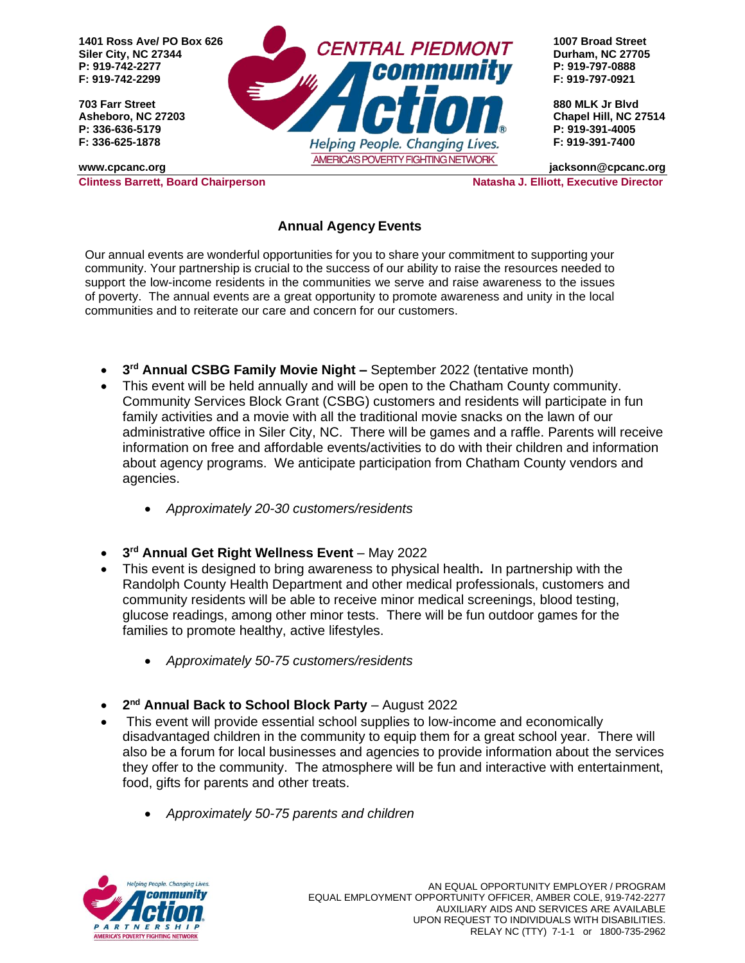

# **Annual Agency Events**

Our annual events are wonderful opportunities for you to share your commitment to supporting your community. Your partnership is crucial to the success of our ability to raise the resources needed to support the low-income residents in the communities we serve and raise awareness to the issues of poverty. The annual events are a great opportunity to promote awareness and unity in the local communities and to reiterate our care and concern for our customers.

- **3 rd Annual CSBG Family Movie Night –** September 2022 (tentative month)
- This event will be held annually and will be open to the Chatham County community. Community Services Block Grant (CSBG) customers and residents will participate in fun family activities and a movie with all the traditional movie snacks on the lawn of our administrative office in Siler City, NC. There will be games and a raffle. Parents will receive information on free and affordable events/activities to do with their children and information about agency programs. We anticipate participation from Chatham County vendors and agencies.
	- *Approximately 20-30 customers/residents*
- **3 rd Annual Get Right Wellness Event**  May 2022
- This event is designed to bring awareness to physical health**.** In partnership with the Randolph County Health Department and other medical professionals, customers and community residents will be able to receive minor medical screenings, blood testing, glucose readings, among other minor tests. There will be fun outdoor games for the families to promote healthy, active lifestyles.
	- *Approximately 50-75 customers/residents*
- **2 nd Annual Back to School Block Party**  August 2022
- This event will provide essential school supplies to low-income and economically disadvantaged children in the community to equip them for a great school year. There will also be a forum for local businesses and agencies to provide information about the services they offer to the community. The atmosphere will be fun and interactive with entertainment, food, gifts for parents and other treats.
	- *Approximately 50-75 parents and children*

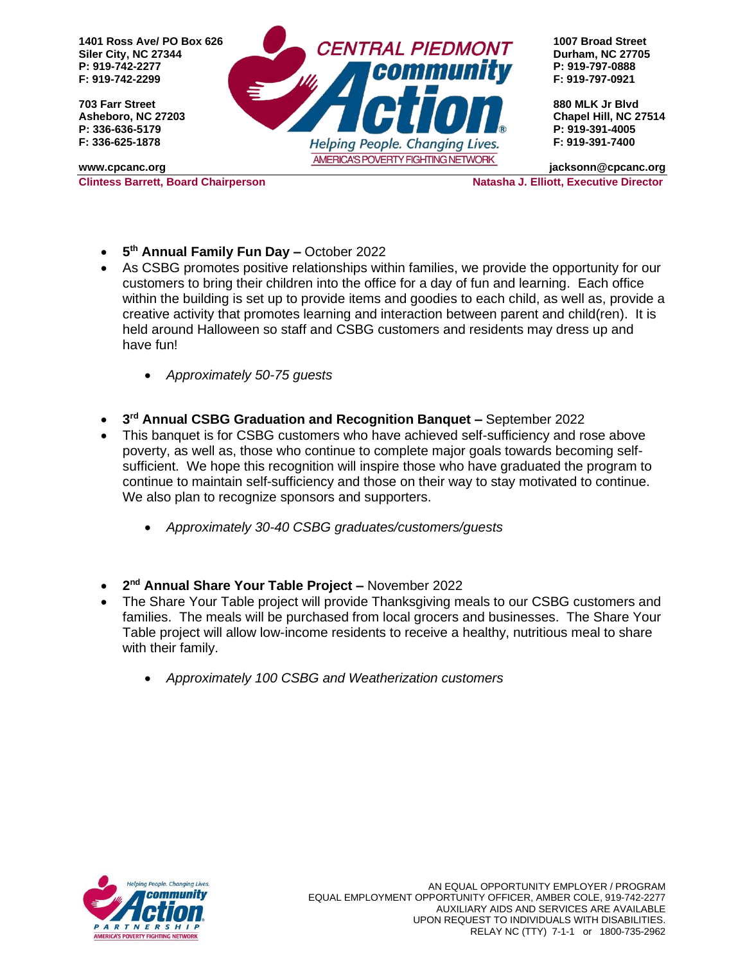

- **5 th Annual Family Fun Day –** October 2022
- As CSBG promotes positive relationships within families, we provide the opportunity for our customers to bring their children into the office for a day of fun and learning. Each office within the building is set up to provide items and goodies to each child, as well as, provide a creative activity that promotes learning and interaction between parent and child(ren). It is held around Halloween so staff and CSBG customers and residents may dress up and have fun!
	- *Approximately 50-75 guests*
- **3 rd Annual CSBG Graduation and Recognition Banquet –** September 2022
- This banquet is for CSBG customers who have achieved self-sufficiency and rose above poverty, as well as, those who continue to complete major goals towards becoming selfsufficient. We hope this recognition will inspire those who have graduated the program to continue to maintain self-sufficiency and those on their way to stay motivated to continue. We also plan to recognize sponsors and supporters.
	- *Approximately 30-40 CSBG graduates/customers/guests*
- **2 nd Annual Share Your Table Project –** November 2022
- The Share Your Table project will provide Thanksgiving meals to our CSBG customers and families. The meals will be purchased from local grocers and businesses. The Share Your Table project will allow low-income residents to receive a healthy, nutritious meal to share with their family.
	- *Approximately 100 CSBG and Weatherization customers*

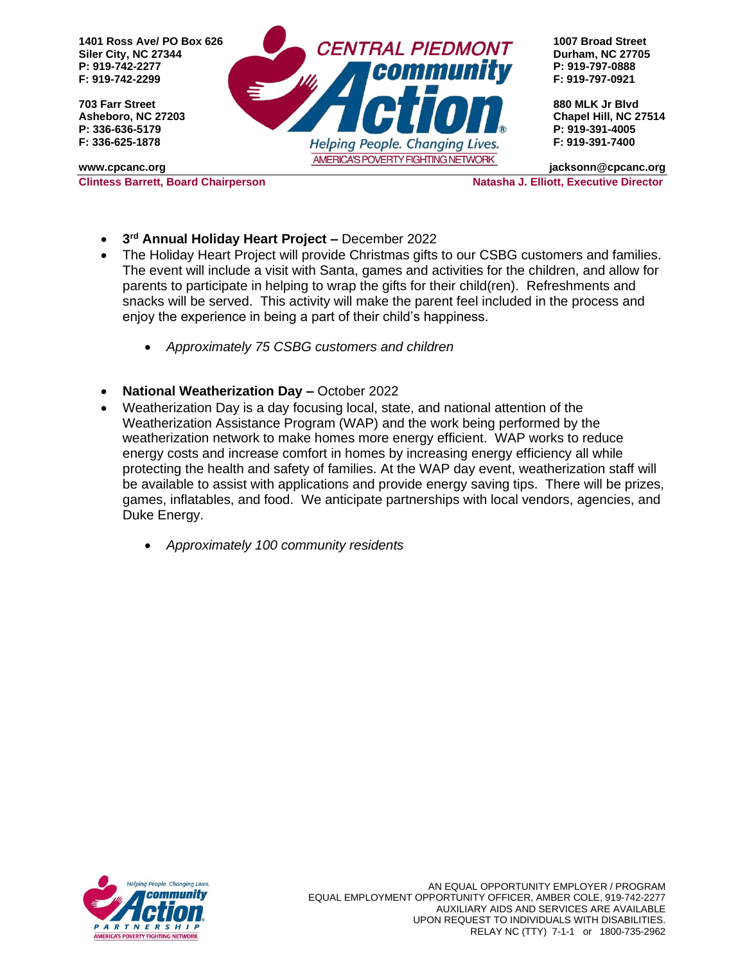

- **3 rd Annual Holiday Heart Project –** December 2022
- The Holiday Heart Project will provide Christmas gifts to our CSBG customers and families. The event will include a visit with Santa, games and activities for the children, and allow for parents to participate in helping to wrap the gifts for their child(ren). Refreshments and snacks will be served. This activity will make the parent feel included in the process and enjoy the experience in being a part of their child's happiness.
	- *Approximately 75 CSBG customers and children*
- **National Weatherization Day –** October 2022
- Weatherization Day is a day focusing local, state, and national attention of the Weatherization Assistance Program (WAP) and the work being performed by the weatherization network to make homes more energy efficient. WAP works to reduce energy costs and increase comfort in homes by increasing energy efficiency all while protecting the health and safety of families. At the WAP day event, weatherization staff will be available to assist with applications and provide energy saving tips. There will be prizes, games, inflatables, and food. We anticipate partnerships with local vendors, agencies, and Duke Energy.
	- *Approximately 100 community residents*

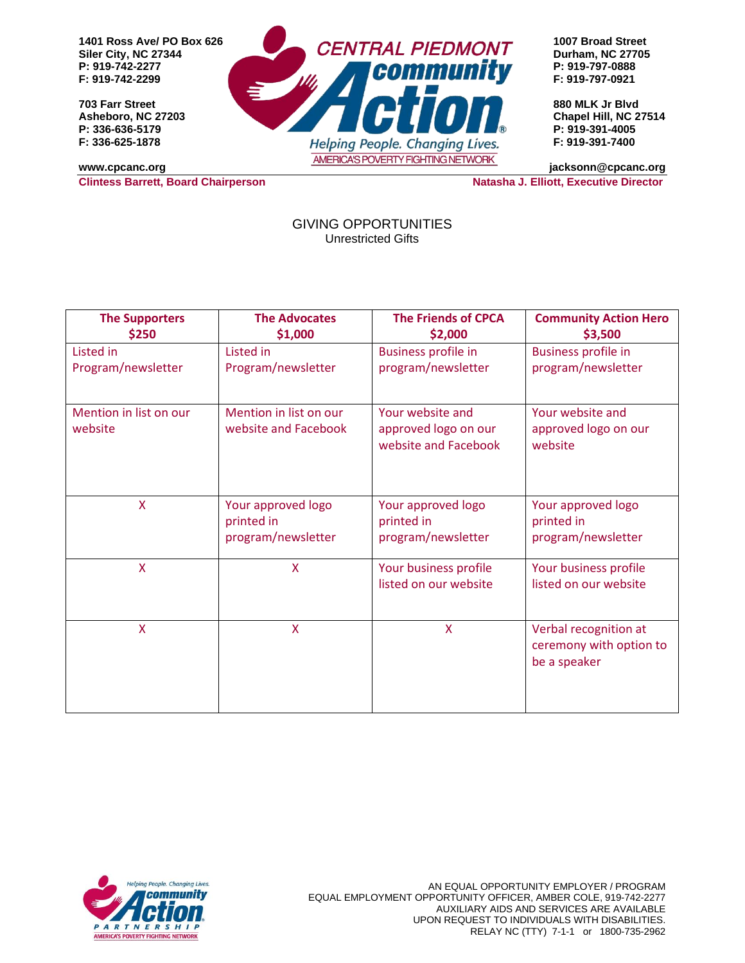**F: 919-742-2299 F: 919-797-0921**



**Clintess Barrett, Board Chairperson Natasha J. Elliott, Executive Director** 

GIVING OPPORTUNITIES Unrestricted Gifts

| <b>The Supporters</b>  | <b>The Advocates</b>             | <b>The Friends of CPCA</b>                     | <b>Community Action Hero</b>                                     |
|------------------------|----------------------------------|------------------------------------------------|------------------------------------------------------------------|
| \$250                  | \$1,000                          | \$2,000                                        | \$3,500                                                          |
| <b>Listed</b> in       | Listed in                        | <b>Business profile in</b>                     | <b>Business profile in</b>                                       |
| Program/newsletter     | Program/newsletter               | program/newsletter                             | program/newsletter                                               |
| Mention in list on our | Mention in list on our           | Your website and                               | Your website and                                                 |
| website                | website and Facebook             | approved logo on our<br>website and Facebook   | approved logo on our<br>website                                  |
| X                      | Your approved logo<br>printed in | Your approved logo<br>printed in               | Your approved logo<br>printed in                                 |
|                        | program/newsletter               | program/newsletter                             | program/newsletter                                               |
| X                      | X                                | Your business profile<br>listed on our website | Your business profile<br>listed on our website                   |
| X                      | X                                | X                                              | Verbal recognition at<br>ceremony with option to<br>be a speaker |